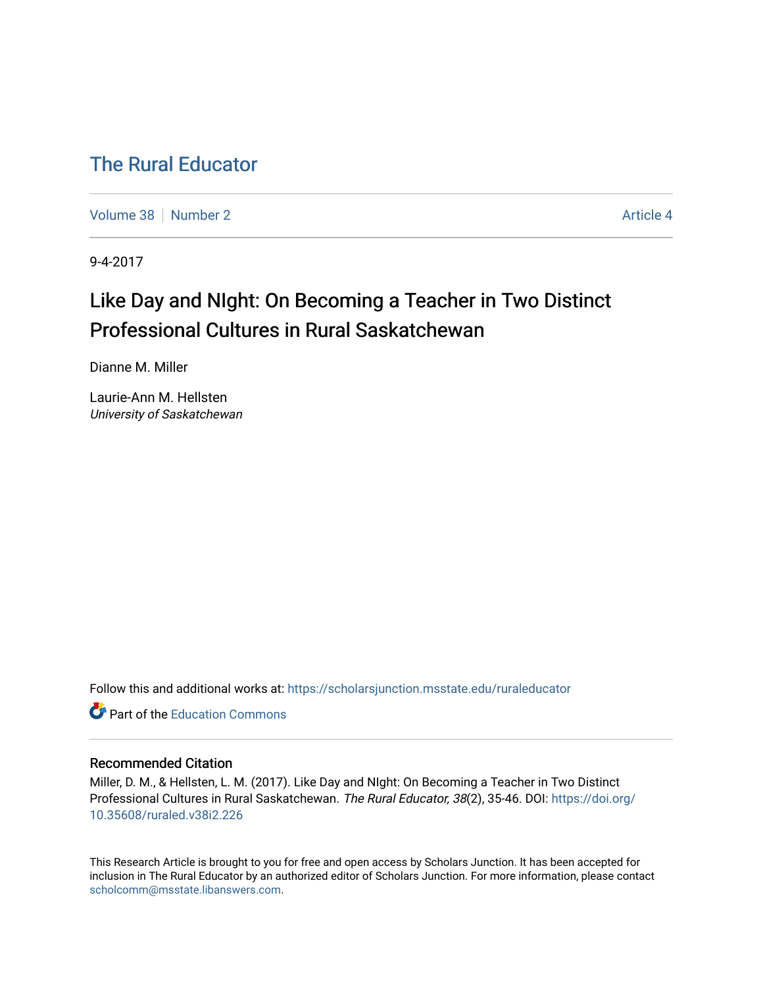# [The Rural Educator](https://scholarsjunction.msstate.edu/ruraleducator)

[Volume 38](https://scholarsjunction.msstate.edu/ruraleducator/vol38) [Number 2](https://scholarsjunction.msstate.edu/ruraleducator/vol38/iss2) Article 4

9-4-2017

# Like Day and NIght: On Becoming a Teacher in Two Distinct Professional Cultures in Rural Saskatchewan

Dianne M. Miller

Laurie-Ann M. Hellsten University of Saskatchewan

Follow this and additional works at: [https://scholarsjunction.msstate.edu/ruraleducator](https://scholarsjunction.msstate.edu/ruraleducator?utm_source=scholarsjunction.msstate.edu%2Fruraleducator%2Fvol38%2Fiss2%2F4&utm_medium=PDF&utm_campaign=PDFCoverPages)

**C** Part of the [Education Commons](http://network.bepress.com/hgg/discipline/784?utm_source=scholarsjunction.msstate.edu%2Fruraleducator%2Fvol38%2Fiss2%2F4&utm_medium=PDF&utm_campaign=PDFCoverPages)

# Recommended Citation

Miller, D. M., & Hellsten, L. M. (2017). Like Day and NIght: On Becoming a Teacher in Two Distinct Professional Cultures in Rural Saskatchewan. The Rural Educator, 38(2), 35-46. DOI: [https://doi.org/](https://doi.org/10.35608/ruraled.v38i2.226) [10.35608/ruraled.v38i2.226](https://doi.org/10.35608/ruraled.v38i2.226)

This Research Article is brought to you for free and open access by Scholars Junction. It has been accepted for inclusion in The Rural Educator by an authorized editor of Scholars Junction. For more information, please contact [scholcomm@msstate.libanswers.com.](mailto:scholcomm@msstate.libanswers.com)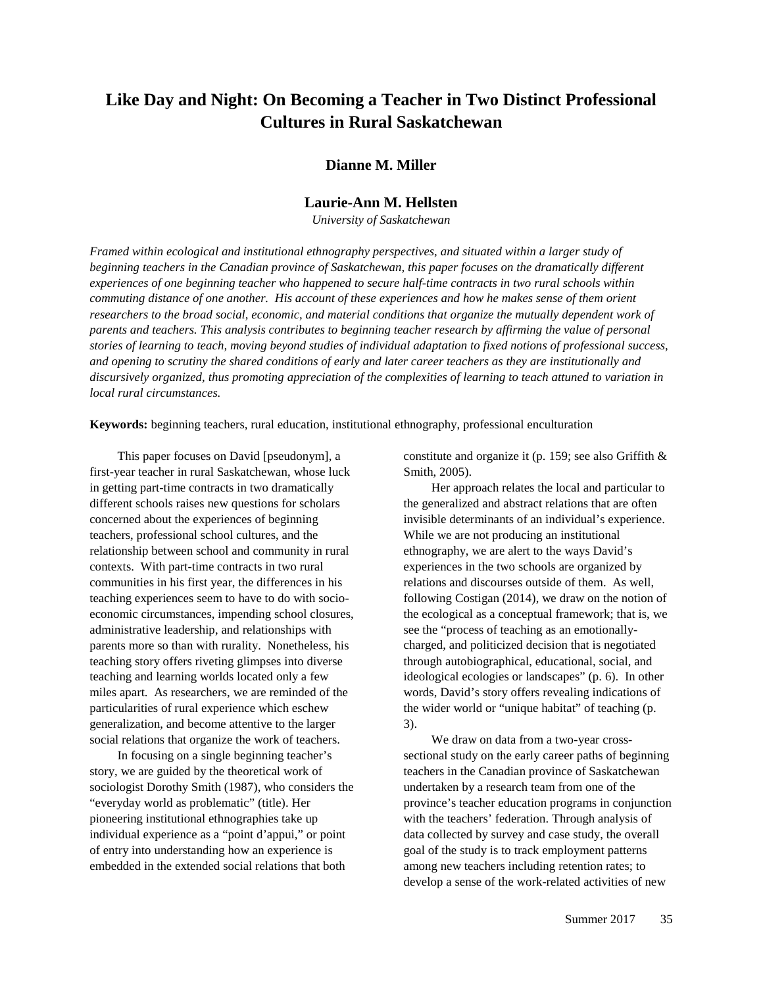# **Like Day and Night: On Becoming a Teacher in Two Distinct Professional Cultures in Rural Saskatchewan**

# **Dianne M. Miller**

# **Laurie-Ann M. Hellsten**

*University of Saskatchewan*

*Framed within ecological and institutional ethnography perspectives, and situated within a larger study of beginning teachers in the Canadian province of Saskatchewan, this paper focuses on the dramatically different experiences of one beginning teacher who happened to secure half-time contracts in two rural schools within commuting distance of one another. His account of these experiences and how he makes sense of them orient researchers to the broad social, economic, and material conditions that organize the mutually dependent work of parents and teachers. This analysis contributes to beginning teacher research by affirming the value of personal stories of learning to teach, moving beyond studies of individual adaptation to fixed notions of professional success, and opening to scrutiny the shared conditions of early and later career teachers as they are institutionally and discursively organized, thus promoting appreciation of the complexities of learning to teach attuned to variation in local rural circumstances.*

**Keywords:** beginning teachers, rural education, institutional ethnography, professional enculturation

This paper focuses on David [pseudonym], a first-year teacher in rural Saskatchewan, whose luck in getting part-time contracts in two dramatically different schools raises new questions for scholars concerned about the experiences of beginning teachers, professional school cultures, and the relationship between school and community in rural contexts. With part-time contracts in two rural communities in his first year, the differences in his teaching experiences seem to have to do with socioeconomic circumstances, impending school closures, administrative leadership, and relationships with parents more so than with rurality. Nonetheless, his teaching story offers riveting glimpses into diverse teaching and learning worlds located only a few miles apart. As researchers, we are reminded of the particularities of rural experience which eschew generalization, and become attentive to the larger social relations that organize the work of teachers.

In focusing on a single beginning teacher's story, we are guided by the theoretical work of sociologist Dorothy Smith (1987), who considers the "everyday world as problematic" (title). Her pioneering institutional ethnographies take up individual experience as a "point d'appui," or point of entry into understanding how an experience is embedded in the extended social relations that both

constitute and organize it (p. 159; see also Griffith & Smith, 2005).

Her approach relates the local and particular to the generalized and abstract relations that are often invisible determinants of an individual's experience. While we are not producing an institutional ethnography, we are alert to the ways David's experiences in the two schools are organized by relations and discourses outside of them. As well, following Costigan (2014), we draw on the notion of the ecological as a conceptual framework; that is, we see the "process of teaching as an emotionallycharged, and politicized decision that is negotiated through autobiographical, educational, social, and ideological ecologies or landscapes" (p. 6). In other words, David's story offers revealing indications of the wider world or "unique habitat" of teaching (p. 3).

We draw on data from a two-year crosssectional study on the early career paths of beginning teachers in the Canadian province of Saskatchewan undertaken by a research team from one of the province's teacher education programs in conjunction with the teachers' federation. Through analysis of data collected by survey and case study, the overall goal of the study is to track employment patterns among new teachers including retention rates; to develop a sense of the work-related activities of new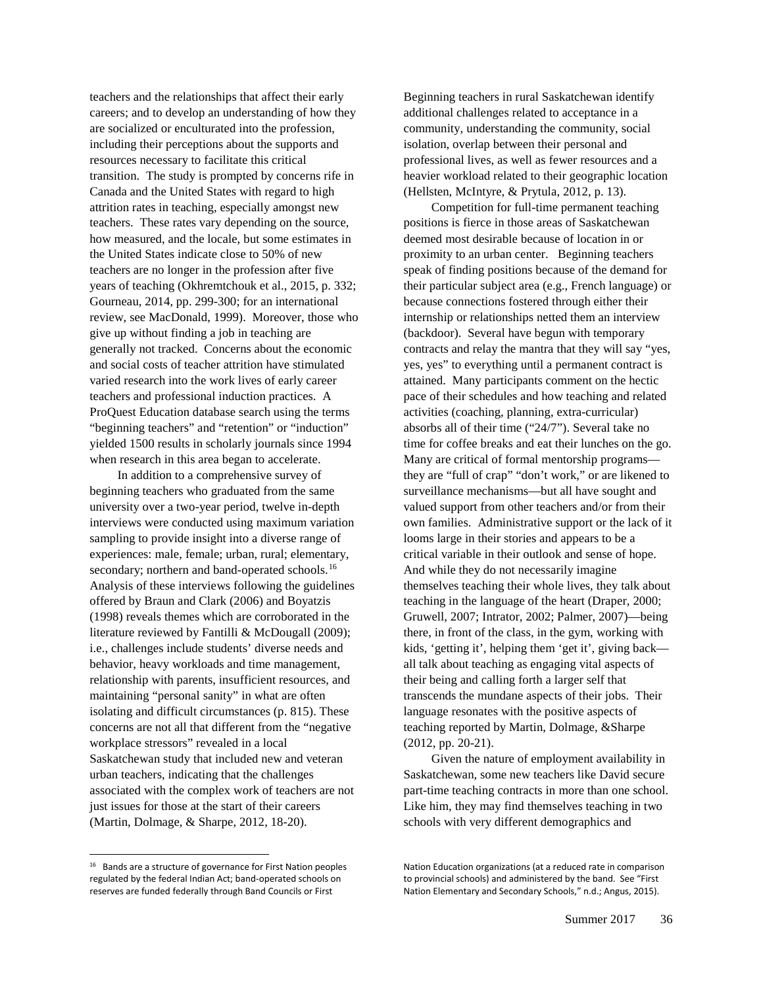teachers and the relationships that affect their early careers; and to develop an understanding of how they are socialized or enculturated into the profession, including their perceptions about the supports and resources necessary to facilitate this critical transition. The study is prompted by concerns rife in Canada and the United States with regard to high attrition rates in teaching, especially amongst new teachers. These rates vary depending on the source, how measured, and the locale, but some estimates in the United States indicate close to 50% of new teachers are no longer in the profession after five years of teaching (Okhremtchouk et al., 2015, p. 332; Gourneau, 2014, pp. 299-300; for an international review, see MacDonald, 1999). Moreover, those who give up without finding a job in teaching are generally not tracked. Concerns about the economic and social costs of teacher attrition have stimulated varied research into the work lives of early career teachers and professional induction practices. A ProQuest Education database search using the terms "beginning teachers" and "retention" or "induction" yielded 1500 results in scholarly journals since 1994 when research in this area began to accelerate.

In addition to a comprehensive survey of beginning teachers who graduated from the same university over a two-year period, twelve in-depth interviews were conducted using maximum variation sampling to provide insight into a diverse range of experiences: male, female; urban, rural; elementary, secondary; northern and band-operated schools.<sup>[16](#page-2-0)</sup> Analysis of these interviews following the guidelines offered by Braun and Clark (2006) and Boyatzis (1998) reveals themes which are corroborated in the literature reviewed by Fantilli & McDougall (2009); i.e., challenges include students' diverse needs and behavior, heavy workloads and time management, relationship with parents, insufficient resources, and maintaining "personal sanity" in what are often isolating and difficult circumstances (p. 815). These concerns are not all that different from the "negative workplace stressors" revealed in a local Saskatchewan study that included new and veteran urban teachers, indicating that the challenges associated with the complex work of teachers are not just issues for those at the start of their careers (Martin, Dolmage, & Sharpe, 2012, 18-20).

Beginning teachers in rural Saskatchewan identify additional challenges related to acceptance in a community, understanding the community, social isolation, overlap between their personal and professional lives, as well as fewer resources and a heavier workload related to their geographic location (Hellsten, McIntyre, & Prytula, 2012, p. 13).

Competition for full-time permanent teaching positions is fierce in those areas of Saskatchewan deemed most desirable because of location in or proximity to an urban center. Beginning teachers speak of finding positions because of the demand for their particular subject area (e.g., French language) or because connections fostered through either their internship or relationships netted them an interview (backdoor). Several have begun with temporary contracts and relay the mantra that they will say "yes, yes, yes" to everything until a permanent contract is attained. Many participants comment on the hectic pace of their schedules and how teaching and related activities (coaching, planning, extra-curricular) absorbs all of their time ("24/7"). Several take no time for coffee breaks and eat their lunches on the go. Many are critical of formal mentorship programs they are "full of crap" "don't work," or are likened to surveillance mechanisms—but all have sought and valued support from other teachers and/or from their own families. Administrative support or the lack of it looms large in their stories and appears to be a critical variable in their outlook and sense of hope. And while they do not necessarily imagine themselves teaching their whole lives, they talk about teaching in the language of the heart (Draper, 2000; Gruwell, 2007; Intrator, 2002; Palmer, 2007)—being there, in front of the class, in the gym, working with kids, 'getting it', helping them 'get it', giving back all talk about teaching as engaging vital aspects of their being and calling forth a larger self that transcends the mundane aspects of their jobs. Their language resonates with the positive aspects of teaching reported by Martin, Dolmage, &Sharpe (2012, pp. 20-21).

Given the nature of employment availability in Saskatchewan, some new teachers like David secure part-time teaching contracts in more than one school. Like him, they may find themselves teaching in two schools with very different demographics and

<span id="page-2-0"></span><sup>&</sup>lt;sup>16</sup> Bands are a structure of governance for First Nation peoples regulated by the federal Indian Act; band-operated schools on reserves are funded federally through Band Councils or First

Nation Education organizations (at a reduced rate in comparison to provincial schools) and administered by the band. See "First Nation Elementary and Secondary Schools," n.d.; Angus, 2015).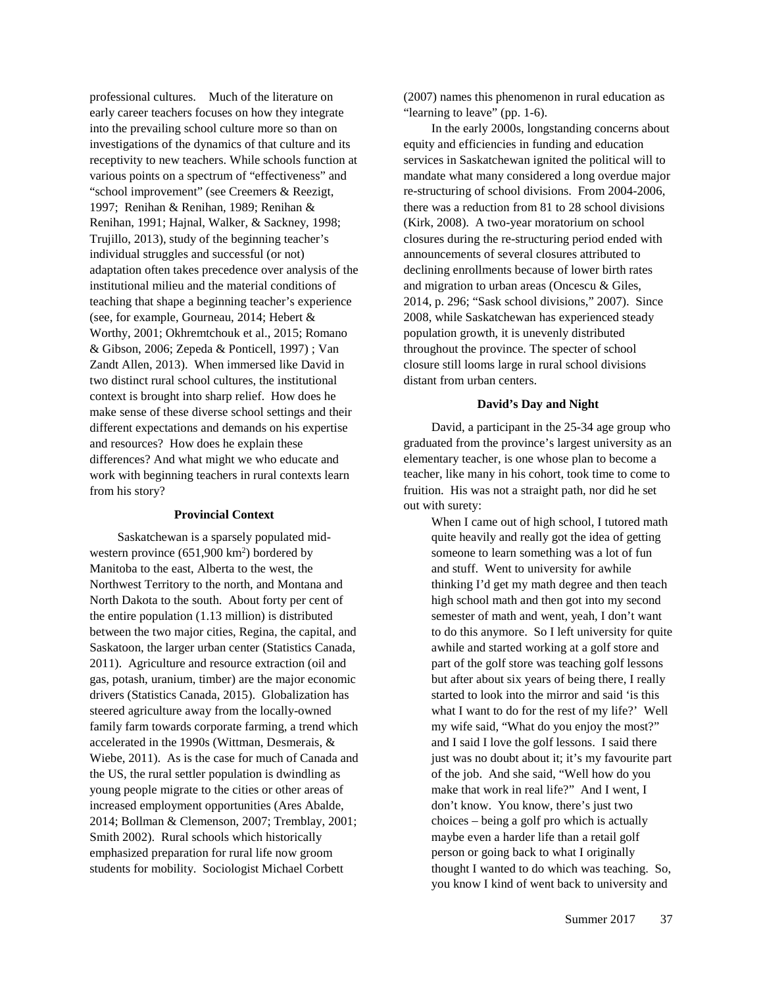professional cultures. Much of the literature on early career teachers focuses on how they integrate into the prevailing school culture more so than on investigations of the dynamics of that culture and its receptivity to new teachers. While schools function at various points on a spectrum of "effectiveness" and "school improvement" (see Creemers & Reezigt, 1997; Renihan & Renihan, 1989; Renihan & Renihan, 1991; Hajnal, Walker, & Sackney, 1998; Trujillo, 2013), study of the beginning teacher's individual struggles and successful (or not) adaptation often takes precedence over analysis of the institutional milieu and the material conditions of teaching that shape a beginning teacher's experience (see, for example, Gourneau, 2014; Hebert & Worthy, 2001; Okhremtchouk et al., 2015; Romano & Gibson, 2006; Zepeda & Ponticell, 1997) ; Van Zandt Allen, 2013). When immersed like David in two distinct rural school cultures, the institutional context is brought into sharp relief. How does he make sense of these diverse school settings and their different expectations and demands on his expertise and resources? How does he explain these differences? And what might we who educate and work with beginning teachers in rural contexts learn from his story?

#### **Provincial Context**

Saskatchewan is a sparsely populated midwestern province  $(651,900 \text{ km}^2)$  bordered by Manitoba to the east, Alberta to the west, the Northwest Territory to the north, and Montana and North Dakota to the south. About forty per cent of the entire population (1.13 million) is distributed between the two major cities, Regina, the capital, and Saskatoon, the larger urban center (Statistics Canada, 2011). Agriculture and resource extraction (oil and gas, potash, uranium, timber) are the major economic drivers (Statistics Canada, 2015). Globalization has steered agriculture away from the locally-owned family farm towards corporate farming, a trend which accelerated in the 1990s (Wittman, Desmerais, & Wiebe, 2011). As is the case for much of Canada and the US, the rural settler population is dwindling as young people migrate to the cities or other areas of increased employment opportunities (Ares Abalde, 2014; Bollman & Clemenson, 2007; Tremblay, 2001; Smith 2002). Rural schools which historically emphasized preparation for rural life now groom students for mobility. Sociologist Michael Corbett

(2007) names this phenomenon in rural education as "learning to leave" (pp. 1-6).

In the early 2000s, longstanding concerns about equity and efficiencies in funding and education services in Saskatchewan ignited the political will to mandate what many considered a long overdue major re-structuring of school divisions. From 2004-2006, there was a reduction from 81 to 28 school divisions (Kirk, 2008). A two-year moratorium on school closures during the re-structuring period ended with announcements of several closures attributed to declining enrollments because of lower birth rates and migration to urban areas (Oncescu & Giles, 2014, p. 296; "Sask school divisions," 2007). Since 2008, while Saskatchewan has experienced steady population growth, it is unevenly distributed throughout the province. The specter of school closure still looms large in rural school divisions distant from urban centers.

#### **David's Day and Night**

David, a participant in the 25-34 age group who graduated from the province's largest university as an elementary teacher, is one whose plan to become a teacher, like many in his cohort, took time to come to fruition. His was not a straight path, nor did he set out with surety:

When I came out of high school, I tutored math quite heavily and really got the idea of getting someone to learn something was a lot of fun and stuff. Went to university for awhile thinking I'd get my math degree and then teach high school math and then got into my second semester of math and went, yeah, I don't want to do this anymore. So I left university for quite awhile and started working at a golf store and part of the golf store was teaching golf lessons but after about six years of being there, I really started to look into the mirror and said 'is this what I want to do for the rest of my life?' Well my wife said, "What do you enjoy the most?" and I said I love the golf lessons. I said there just was no doubt about it; it's my favourite part of the job. And she said, "Well how do you make that work in real life?" And I went, I don't know. You know, there's just two choices – being a golf pro which is actually maybe even a harder life than a retail golf person or going back to what I originally thought I wanted to do which was teaching. So, you know I kind of went back to university and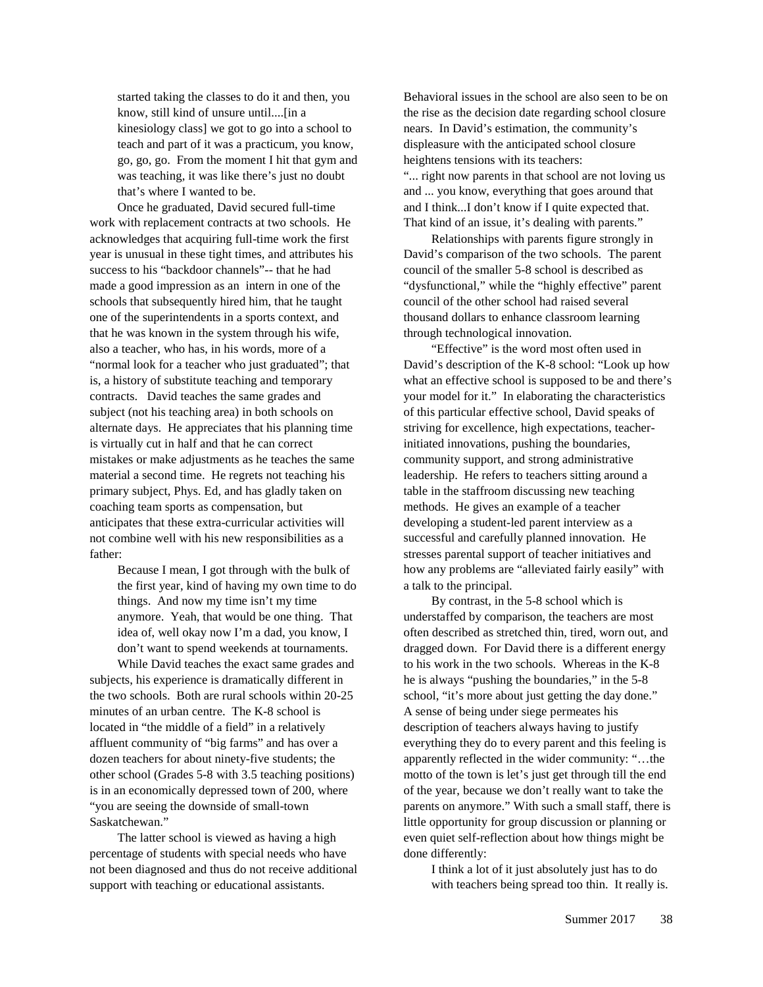started taking the classes to do it and then, you know, still kind of unsure until....[in a kinesiology class] we got to go into a school to teach and part of it was a practicum, you know, go, go, go. From the moment I hit that gym and was teaching, it was like there's just no doubt that's where I wanted to be.

Once he graduated, David secured full-time work with replacement contracts at two schools. He acknowledges that acquiring full-time work the first year is unusual in these tight times, and attributes his success to his "backdoor channels"-- that he had made a good impression as an intern in one of the schools that subsequently hired him, that he taught one of the superintendents in a sports context, and that he was known in the system through his wife, also a teacher, who has, in his words, more of a "normal look for a teacher who just graduated"; that is, a history of substitute teaching and temporary contracts. David teaches the same grades and subject (not his teaching area) in both schools on alternate days. He appreciates that his planning time is virtually cut in half and that he can correct mistakes or make adjustments as he teaches the same material a second time. He regrets not teaching his primary subject, Phys. Ed, and has gladly taken on coaching team sports as compensation, but anticipates that these extra-curricular activities will not combine well with his new responsibilities as a father:

> Because I mean, I got through with the bulk of the first year, kind of having my own time to do things. And now my time isn't my time anymore. Yeah, that would be one thing. That idea of, well okay now I'm a dad, you know, I don't want to spend weekends at tournaments.

While David teaches the exact same grades and subjects, his experience is dramatically different in the two schools. Both are rural schools within 20-25 minutes of an urban centre. The K-8 school is located in "the middle of a field" in a relatively affluent community of "big farms" and has over a dozen teachers for about ninety-five students; the other school (Grades 5-8 with 3.5 teaching positions) is in an economically depressed town of 200, where "you are seeing the downside of small-town Saskatchewan."

The latter school is viewed as having a high percentage of students with special needs who have not been diagnosed and thus do not receive additional support with teaching or educational assistants.

Behavioral issues in the school are also seen to be on the rise as the decision date regarding school closure nears. In David's estimation, the community's displeasure with the anticipated school closure heightens tensions with its teachers: "... right now parents in that school are not loving us and ... you know, everything that goes around that and I think...I don't know if I quite expected that. That kind of an issue, it's dealing with parents."

Relationships with parents figure strongly in David's comparison of the two schools. The parent council of the smaller 5-8 school is described as "dysfunctional," while the "highly effective" parent council of the other school had raised several thousand dollars to enhance classroom learning through technological innovation.

"Effective" is the word most often used in David's description of the K-8 school: "Look up how what an effective school is supposed to be and there's your model for it." In elaborating the characteristics of this particular effective school, David speaks of striving for excellence, high expectations, teacherinitiated innovations, pushing the boundaries, community support, and strong administrative leadership. He refers to teachers sitting around a table in the staffroom discussing new teaching methods. He gives an example of a teacher developing a student-led parent interview as a successful and carefully planned innovation. He stresses parental support of teacher initiatives and how any problems are "alleviated fairly easily" with a talk to the principal.

By contrast, in the 5-8 school which is understaffed by comparison, the teachers are most often described as stretched thin, tired, worn out, and dragged down. For David there is a different energy to his work in the two schools. Whereas in the K-8 he is always "pushing the boundaries," in the 5-8 school, "it's more about just getting the day done." A sense of being under siege permeates his description of teachers always having to justify everything they do to every parent and this feeling is apparently reflected in the wider community: "…the motto of the town is let's just get through till the end of the year, because we don't really want to take the parents on anymore." With such a small staff, there is little opportunity for group discussion or planning or even quiet self-reflection about how things might be done differently:

> I think a lot of it just absolutely just has to do with teachers being spread too thin. It really is.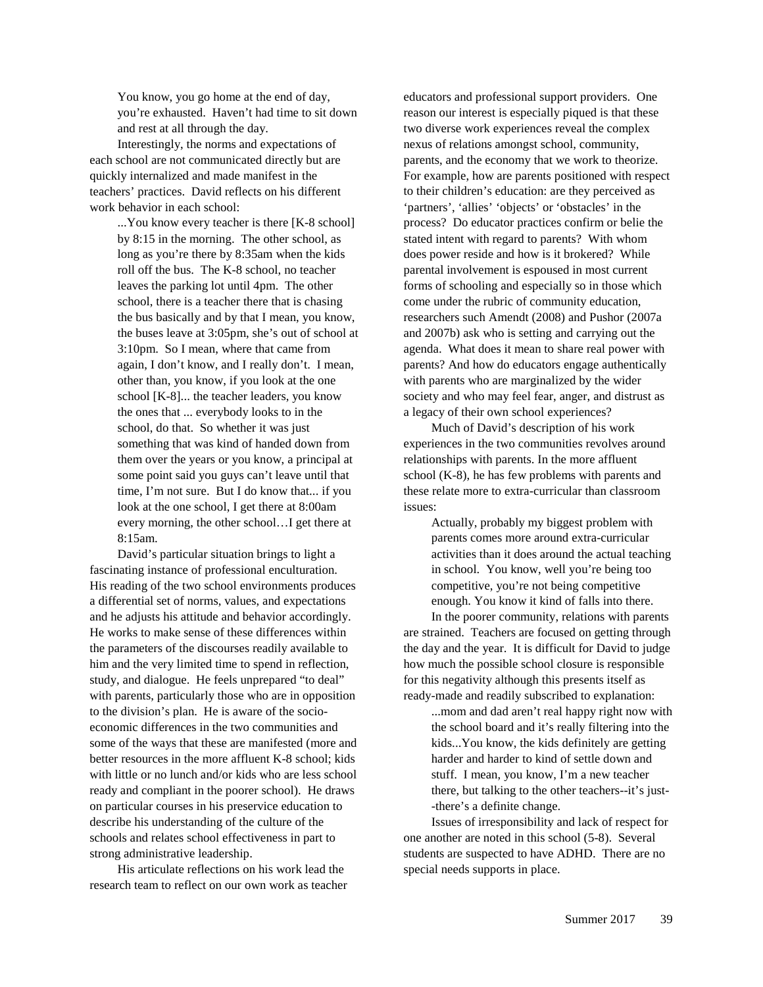You know, you go home at the end of day, you're exhausted. Haven't had time to sit down and rest at all through the day.

Interestingly, the norms and expectations of each school are not communicated directly but are quickly internalized and made manifest in the teachers' practices. David reflects on his different work behavior in each school:

> ...You know every teacher is there [K-8 school] by 8:15 in the morning. The other school, as long as you're there by 8:35am when the kids roll off the bus. The K-8 school, no teacher leaves the parking lot until 4pm. The other school, there is a teacher there that is chasing the bus basically and by that I mean, you know, the buses leave at 3:05pm, she's out of school at 3:10pm. So I mean, where that came from again, I don't know, and I really don't. I mean, other than, you know, if you look at the one school [K-8]... the teacher leaders, you know the ones that ... everybody looks to in the school, do that. So whether it was just something that was kind of handed down from them over the years or you know, a principal at some point said you guys can't leave until that time, I'm not sure. But I do know that... if you look at the one school, I get there at 8:00am every morning, the other school…I get there at 8:15am.

David's particular situation brings to light a fascinating instance of professional enculturation. His reading of the two school environments produces a differential set of norms, values, and expectations and he adjusts his attitude and behavior accordingly. He works to make sense of these differences within the parameters of the discourses readily available to him and the very limited time to spend in reflection, study, and dialogue. He feels unprepared "to deal" with parents, particularly those who are in opposition to the division's plan. He is aware of the socioeconomic differences in the two communities and some of the ways that these are manifested (more and better resources in the more affluent K-8 school; kids with little or no lunch and/or kids who are less school ready and compliant in the poorer school). He draws on particular courses in his preservice education to describe his understanding of the culture of the schools and relates school effectiveness in part to strong administrative leadership.

His articulate reflections on his work lead the research team to reflect on our own work as teacher

educators and professional support providers. One reason our interest is especially piqued is that these two diverse work experiences reveal the complex nexus of relations amongst school, community, parents, and the economy that we work to theorize. For example, how are parents positioned with respect to their children's education: are they perceived as 'partners', 'allies' 'objects' or 'obstacles' in the process? Do educator practices confirm or belie the stated intent with regard to parents? With whom does power reside and how is it brokered? While parental involvement is espoused in most current forms of schooling and especially so in those which come under the rubric of community education, researchers such Amendt (2008) and Pushor (2007a and 2007b) ask who is setting and carrying out the agenda. What does it mean to share real power with parents? And how do educators engage authentically with parents who are marginalized by the wider society and who may feel fear, anger, and distrust as a legacy of their own school experiences?

Much of David's description of his work experiences in the two communities revolves around relationships with parents. In the more affluent school (K-8), he has few problems with parents and these relate more to extra-curricular than classroom issues:

Actually, probably my biggest problem with parents comes more around extra-curricular activities than it does around the actual teaching in school. You know, well you're being too competitive, you're not being competitive enough. You know it kind of falls into there.

In the poorer community, relations with parents are strained. Teachers are focused on getting through the day and the year. It is difficult for David to judge how much the possible school closure is responsible for this negativity although this presents itself as ready-made and readily subscribed to explanation:

...mom and dad aren't real happy right now with the school board and it's really filtering into the kids...You know, the kids definitely are getting harder and harder to kind of settle down and stuff. I mean, you know, I'm a new teacher there, but talking to the other teachers--it's just- -there's a definite change.

Issues of irresponsibility and lack of respect for one another are noted in this school (5-8). Several students are suspected to have ADHD. There are no special needs supports in place.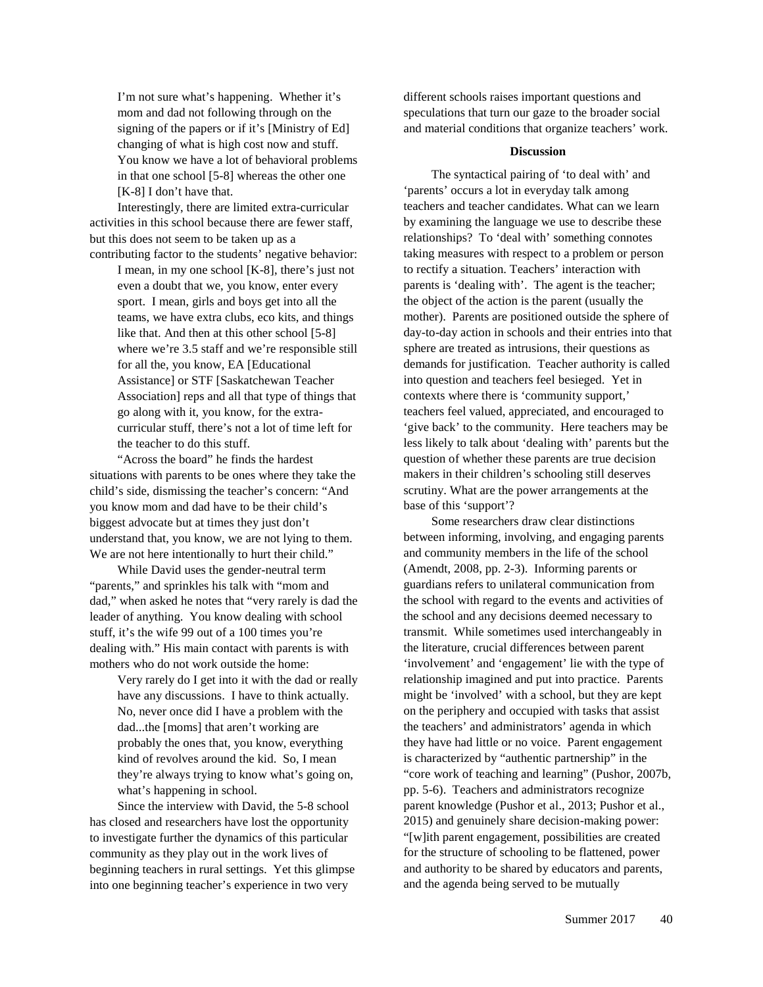I'm not sure what's happening. Whether it's mom and dad not following through on the signing of the papers or if it's [Ministry of Ed] changing of what is high cost now and stuff. You know we have a lot of behavioral problems in that one school [5-8] whereas the other one [K-8] I don't have that.

Interestingly, there are limited extra-curricular activities in this school because there are fewer staff, but this does not seem to be taken up as a contributing factor to the students' negative behavior:

I mean, in my one school [K-8], there's just not even a doubt that we, you know, enter every sport. I mean, girls and boys get into all the teams, we have extra clubs, eco kits, and things like that. And then at this other school [5-8] where we're 3.5 staff and we're responsible still for all the, you know, EA [Educational Assistance] or STF [Saskatchewan Teacher Association] reps and all that type of things that go along with it, you know, for the extracurricular stuff, there's not a lot of time left for the teacher to do this stuff.

"Across the board" he finds the hardest situations with parents to be ones where they take the child's side, dismissing the teacher's concern: "And you know mom and dad have to be their child's biggest advocate but at times they just don't understand that, you know, we are not lying to them. We are not here intentionally to hurt their child."

While David uses the gender-neutral term "parents," and sprinkles his talk with "mom and dad," when asked he notes that "very rarely is dad the leader of anything. You know dealing with school stuff, it's the wife 99 out of a 100 times you're dealing with." His main contact with parents is with mothers who do not work outside the home:

> Very rarely do I get into it with the dad or really have any discussions. I have to think actually. No, never once did I have a problem with the dad...the [moms] that aren't working are probably the ones that, you know, everything kind of revolves around the kid. So, I mean they're always trying to know what's going on, what's happening in school.

Since the interview with David, the 5-8 school has closed and researchers have lost the opportunity to investigate further the dynamics of this particular community as they play out in the work lives of beginning teachers in rural settings. Yet this glimpse into one beginning teacher's experience in two very

different schools raises important questions and speculations that turn our gaze to the broader social and material conditions that organize teachers' work.

### **Discussion**

The syntactical pairing of 'to deal with' and 'parents' occurs a lot in everyday talk among teachers and teacher candidates. What can we learn by examining the language we use to describe these relationships? To 'deal with' something connotes taking measures with respect to a problem or person to rectify a situation. Teachers' interaction with parents is 'dealing with'. The agent is the teacher; the object of the action is the parent (usually the mother). Parents are positioned outside the sphere of day-to-day action in schools and their entries into that sphere are treated as intrusions, their questions as demands for justification. Teacher authority is called into question and teachers feel besieged. Yet in contexts where there is 'community support,' teachers feel valued, appreciated, and encouraged to 'give back' to the community. Here teachers may be less likely to talk about 'dealing with' parents but the question of whether these parents are true decision makers in their children's schooling still deserves scrutiny. What are the power arrangements at the base of this 'support'?

Some researchers draw clear distinctions between informing, involving, and engaging parents and community members in the life of the school (Amendt, 2008, pp. 2-3). Informing parents or guardians refers to unilateral communication from the school with regard to the events and activities of the school and any decisions deemed necessary to transmit. While sometimes used interchangeably in the literature, crucial differences between parent 'involvement' and 'engagement' lie with the type of relationship imagined and put into practice. Parents might be 'involved' with a school, but they are kept on the periphery and occupied with tasks that assist the teachers' and administrators' agenda in which they have had little or no voice. Parent engagement is characterized by "authentic partnership" in the "core work of teaching and learning" (Pushor, 2007b, pp. 5-6). Teachers and administrators recognize parent knowledge (Pushor et al., 2013; Pushor et al., 2015) and genuinely share decision-making power: "[w]ith parent engagement, possibilities are created for the structure of schooling to be flattened, power and authority to be shared by educators and parents, and the agenda being served to be mutually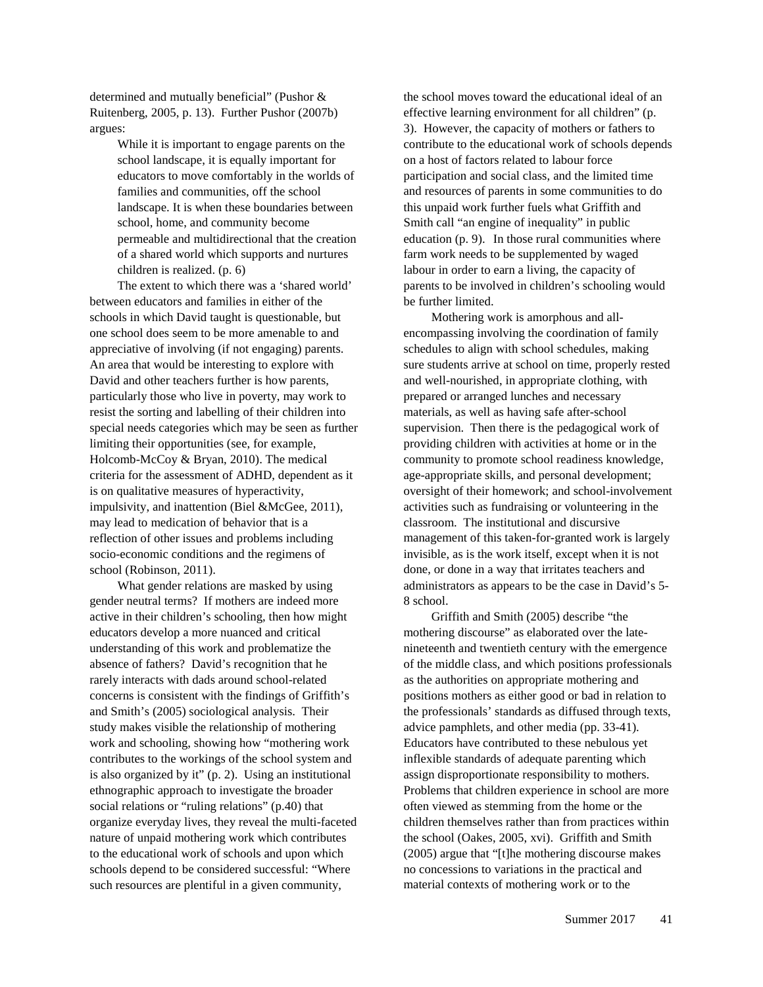determined and mutually beneficial" (Pushor & Ruitenberg, 2005, p. 13). Further Pushor (2007b) argues:

> While it is important to engage parents on the school landscape, it is equally important for educators to move comfortably in the worlds of families and communities, off the school landscape. It is when these boundaries between school, home, and community become permeable and multidirectional that the creation of a shared world which supports and nurtures children is realized. (p. 6)

The extent to which there was a 'shared world' between educators and families in either of the schools in which David taught is questionable, but one school does seem to be more amenable to and appreciative of involving (if not engaging) parents. An area that would be interesting to explore with David and other teachers further is how parents, particularly those who live in poverty, may work to resist the sorting and labelling of their children into special needs categories which may be seen as further limiting their opportunities (see, for example, Holcomb-McCoy & Bryan, 2010). The medical criteria for the assessment of ADHD, dependent as it is on qualitative measures of hyperactivity, impulsivity, and inattention (Biel &McGee, 2011), may lead to medication of behavior that is a reflection of other issues and problems including socio-economic conditions and the regimens of school (Robinson, 2011).

What gender relations are masked by using gender neutral terms? If mothers are indeed more active in their children's schooling, then how might educators develop a more nuanced and critical understanding of this work and problematize the absence of fathers? David's recognition that he rarely interacts with dads around school-related concerns is consistent with the findings of Griffith's and Smith's (2005) sociological analysis. Their study makes visible the relationship of mothering work and schooling, showing how "mothering work contributes to the workings of the school system and is also organized by it" (p. 2). Using an institutional ethnographic approach to investigate the broader social relations or "ruling relations" (p.40) that organize everyday lives, they reveal the multi-faceted nature of unpaid mothering work which contributes to the educational work of schools and upon which schools depend to be considered successful: "Where such resources are plentiful in a given community,

the school moves toward the educational ideal of an effective learning environment for all children" (p. 3). However, the capacity of mothers or fathers to contribute to the educational work of schools depends on a host of factors related to labour force participation and social class, and the limited time and resources of parents in some communities to do this unpaid work further fuels what Griffith and Smith call "an engine of inequality" in public education (p. 9). In those rural communities where farm work needs to be supplemented by waged labour in order to earn a living, the capacity of parents to be involved in children's schooling would be further limited.

Mothering work is amorphous and allencompassing involving the coordination of family schedules to align with school schedules, making sure students arrive at school on time, properly rested and well-nourished, in appropriate clothing, with prepared or arranged lunches and necessary materials, as well as having safe after-school supervision. Then there is the pedagogical work of providing children with activities at home or in the community to promote school readiness knowledge, age-appropriate skills, and personal development; oversight of their homework; and school-involvement activities such as fundraising or volunteering in the classroom. The institutional and discursive management of this taken-for-granted work is largely invisible, as is the work itself, except when it is not done, or done in a way that irritates teachers and administrators as appears to be the case in David's 5- 8 school.

Griffith and Smith (2005) describe "the mothering discourse" as elaborated over the latenineteenth and twentieth century with the emergence of the middle class, and which positions professionals as the authorities on appropriate mothering and positions mothers as either good or bad in relation to the professionals' standards as diffused through texts, advice pamphlets, and other media (pp. 33-41). Educators have contributed to these nebulous yet inflexible standards of adequate parenting which assign disproportionate responsibility to mothers. Problems that children experience in school are more often viewed as stemming from the home or the children themselves rather than from practices within the school (Oakes, 2005, xvi). Griffith and Smith (2005) argue that "[t]he mothering discourse makes no concessions to variations in the practical and material contexts of mothering work or to the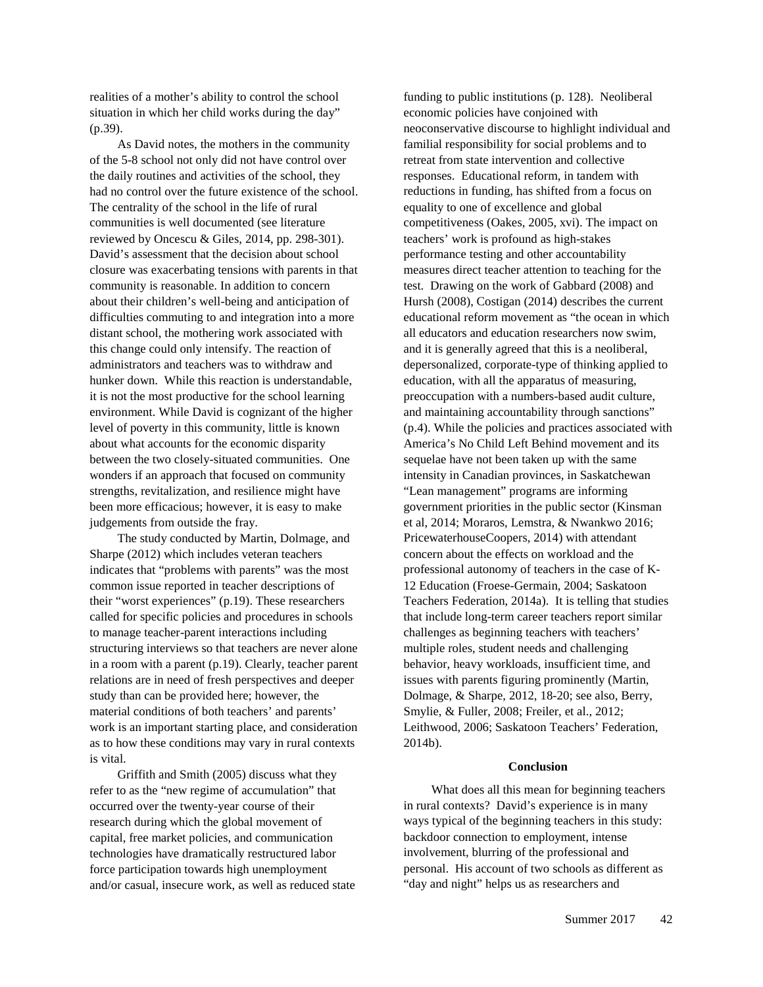realities of a mother's ability to control the school situation in which her child works during the day" (p.39).

As David notes, the mothers in the community of the 5-8 school not only did not have control over the daily routines and activities of the school, they had no control over the future existence of the school. The centrality of the school in the life of rural communities is well documented (see literature reviewed by Oncescu & Giles, 2014, pp. 298-301). David's assessment that the decision about school closure was exacerbating tensions with parents in that community is reasonable. In addition to concern about their children's well-being and anticipation of difficulties commuting to and integration into a more distant school, the mothering work associated with this change could only intensify. The reaction of administrators and teachers was to withdraw and hunker down. While this reaction is understandable, it is not the most productive for the school learning environment. While David is cognizant of the higher level of poverty in this community, little is known about what accounts for the economic disparity between the two closely-situated communities. One wonders if an approach that focused on community strengths, revitalization, and resilience might have been more efficacious; however, it is easy to make judgements from outside the fray.

The study conducted by Martin, Dolmage, and Sharpe (2012) which includes veteran teachers indicates that "problems with parents" was the most common issue reported in teacher descriptions of their "worst experiences" (p.19). These researchers called for specific policies and procedures in schools to manage teacher-parent interactions including structuring interviews so that teachers are never alone in a room with a parent (p.19). Clearly, teacher parent relations are in need of fresh perspectives and deeper study than can be provided here; however, the material conditions of both teachers' and parents' work is an important starting place, and consideration as to how these conditions may vary in rural contexts is vital.

Griffith and Smith (2005) discuss what they refer to as the "new regime of accumulation" that occurred over the twenty-year course of their research during which the global movement of capital, free market policies, and communication technologies have dramatically restructured labor force participation towards high unemployment and/or casual, insecure work, as well as reduced state

funding to public institutions (p. 128). Neoliberal economic policies have conjoined with neoconservative discourse to highlight individual and familial responsibility for social problems and to retreat from state intervention and collective responses. Educational reform, in tandem with reductions in funding, has shifted from a focus on equality to one of excellence and global competitiveness (Oakes, 2005, xvi). The impact on teachers' work is profound as high-stakes performance testing and other accountability measures direct teacher attention to teaching for the test. Drawing on the work of Gabbard (2008) and Hursh (2008), Costigan (2014) describes the current educational reform movement as "the ocean in which all educators and education researchers now swim, and it is generally agreed that this is a neoliberal, depersonalized, corporate-type of thinking applied to education, with all the apparatus of measuring, preoccupation with a numbers-based audit culture, and maintaining accountability through sanctions" (p.4). While the policies and practices associated with America's No Child Left Behind movement and its sequelae have not been taken up with the same intensity in Canadian provinces, in Saskatchewan "Lean management" programs are informing government priorities in the public sector (Kinsman et al, 2014; Moraros, Lemstra, & Nwankwo 2016; PricewaterhouseCoopers, 2014) with attendant concern about the effects on workload and the professional autonomy of teachers in the case of K-12 Education (Froese-Germain, 2004; Saskatoon Teachers Federation, 2014a). It is telling that studies that include long-term career teachers report similar challenges as beginning teachers with teachers' multiple roles, student needs and challenging behavior, heavy workloads, insufficient time, and issues with parents figuring prominently (Martin, Dolmage, & Sharpe, 2012, 18-20; see also, Berry, Smylie, & Fuller, 2008; Freiler, et al., 2012; Leithwood, 2006; Saskatoon Teachers' Federation, 2014b).

#### **Conclusion**

What does all this mean for beginning teachers in rural contexts? David's experience is in many ways typical of the beginning teachers in this study: backdoor connection to employment, intense involvement, blurring of the professional and personal. His account of two schools as different as "day and night" helps us as researchers and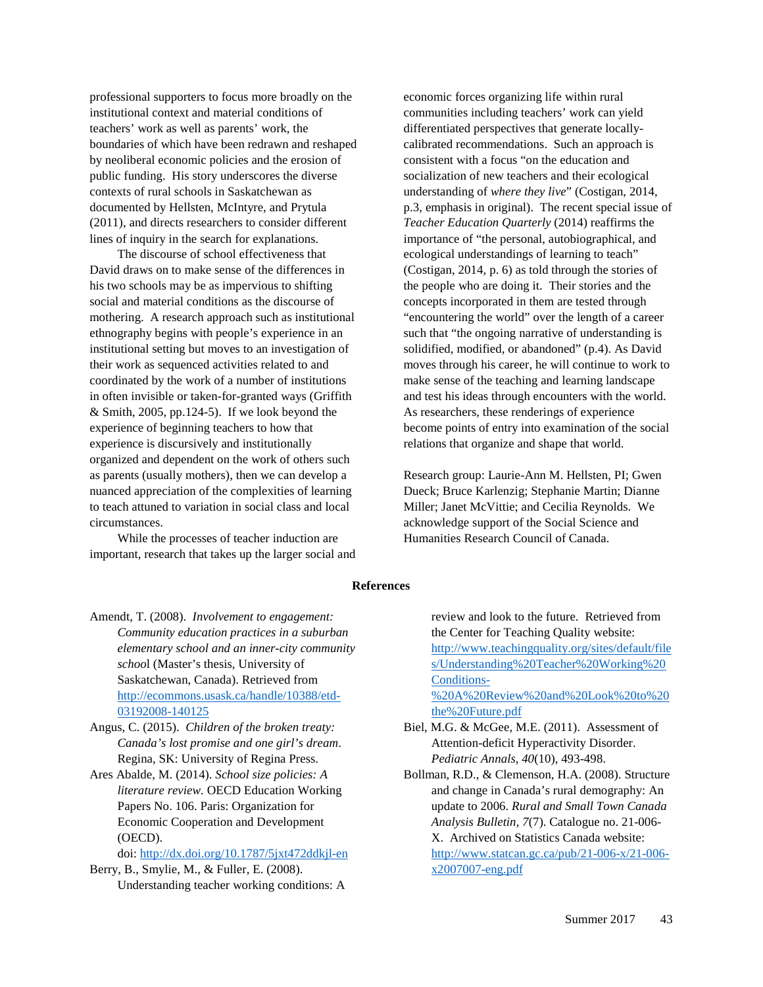professional supporters to focus more broadly on the institutional context and material conditions of teachers' work as well as parents' work, the boundaries of which have been redrawn and reshaped by neoliberal economic policies and the erosion of public funding. His story underscores the diverse contexts of rural schools in Saskatchewan as documented by Hellsten, McIntyre, and Prytula (2011), and directs researchers to consider different lines of inquiry in the search for explanations.

The discourse of school effectiveness that David draws on to make sense of the differences in his two schools may be as impervious to shifting social and material conditions as the discourse of mothering. A research approach such as institutional ethnography begins with people's experience in an institutional setting but moves to an investigation of their work as sequenced activities related to and coordinated by the work of a number of institutions in often invisible or taken-for-granted ways (Griffith & Smith, 2005, pp.124-5). If we look beyond the experience of beginning teachers to how that experience is discursively and institutionally organized and dependent on the work of others such as parents (usually mothers), then we can develop a nuanced appreciation of the complexities of learning to teach attuned to variation in social class and local circumstances.

While the processes of teacher induction are important, research that takes up the larger social and

economic forces organizing life within rural communities including teachers' work can yield differentiated perspectives that generate locallycalibrated recommendations. Such an approach is consistent with a focus "on the education and socialization of new teachers and their ecological understanding of *where they live*" (Costigan, 2014, p.3, emphasis in original). The recent special issue of *Teacher Education Quarterly* (2014) reaffirms the importance of "the personal, autobiographical, and ecological understandings of learning to teach" (Costigan, 2014, p. 6) as told through the stories of the people who are doing it. Their stories and the concepts incorporated in them are tested through "encountering the world" over the length of a career such that "the ongoing narrative of understanding is solidified, modified, or abandoned" (p.4). As David moves through his career, he will continue to work to make sense of the teaching and learning landscape and test his ideas through encounters with the world. As researchers, these renderings of experience become points of entry into examination of the social relations that organize and shape that world.

Research group: Laurie-Ann M. Hellsten, PI; Gwen Dueck; Bruce Karlenzig; Stephanie Martin; Dianne Miller; Janet McVittie; and Cecilia Reynolds. We acknowledge support of the Social Science and Humanities Research Council of Canada.

#### **References**

- Amendt, T. (2008). *Involvement to engagement: Community education practices in a suburban elementary school and an inner-city community schoo*l (Master's thesis, University of Saskatchewan, Canada). Retrieved from [http://ecommons.usask.ca/handle/10388/etd-](http://ecommons.usask.ca/handle/10388/etd-03192008-140125)[03192008-140125](http://ecommons.usask.ca/handle/10388/etd-03192008-140125)
- Angus, C. (2015). *Children of the broken treaty: Canada's lost promise and one girl's dream*. Regina, SK: University of Regina Press.
- Ares Abalde, M. (2014). *School size policies: A literature review*. OECD Education Working Papers No. 106. Paris: Organization for Economic Cooperation and Development (OECD).

doi:<http://dx.doi.org/10.1787/5jxt472ddkjl-en>

Berry, B., Smylie, M., & Fuller, E. (2008). Understanding teacher working conditions: A review and look to the future. Retrieved from the Center for Teaching Quality website: [http://www.teachingquality.org/sites/default/file](http://www.teachingquality.org/sites/default/files/Understanding%20Teacher%20Working%20Conditions-%20A%20Review%20and%20Look%20to%20the%20Future.pdf) [s/Understanding%20Teacher%20Working%20](http://www.teachingquality.org/sites/default/files/Understanding%20Teacher%20Working%20Conditions-%20A%20Review%20and%20Look%20to%20the%20Future.pdf) [Conditions-](http://www.teachingquality.org/sites/default/files/Understanding%20Teacher%20Working%20Conditions-%20A%20Review%20and%20Look%20to%20the%20Future.pdf) [%20A%20Review%20and%20Look%20to%20](http://www.teachingquality.org/sites/default/files/Understanding%20Teacher%20Working%20Conditions-%20A%20Review%20and%20Look%20to%20the%20Future.pdf)

Biel, M.G. & McGee, M.E. (2011). Assessment of Attention-deficit Hyperactivity Disorder. *Pediatric Annals, 40*(10), 493-498.

[the%20Future.pdf](http://www.teachingquality.org/sites/default/files/Understanding%20Teacher%20Working%20Conditions-%20A%20Review%20and%20Look%20to%20the%20Future.pdf)

Bollman, R.D., & Clemenson, H.A. (2008). Structure and change in Canada's rural demography: An update to 2006. *Rural and Small Town Canada Analysis Bulletin, 7*(7). Catalogue no. 21-006- X. Archived on Statistics Canada website: [http://www.statcan.gc.ca/pub/21-006-x/21-006](http://www.statcan.gc.ca/pub/21-006-x/21-006-x2007007-eng.pdf) [x2007007-eng.pdf](http://www.statcan.gc.ca/pub/21-006-x/21-006-x2007007-eng.pdf)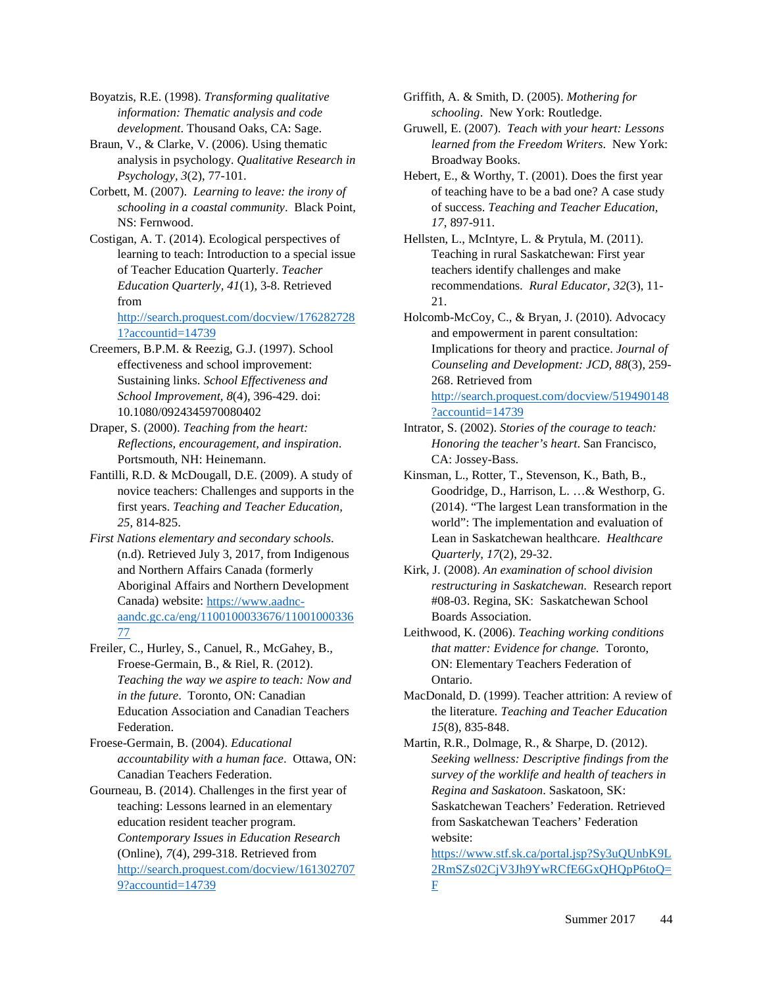Boyatzis, R.E. (1998). *Transforming qualitative information: Thematic analysis and code development*. Thousand Oaks, CA: Sage.

Braun, V., & Clarke, V. (2006). Using thematic analysis in psychology. *Qualitative Research in Psychology, 3*(2), 77-101.

Corbett, M. (2007). *Learning to leave: the irony of schooling in a coastal community*. Black Point, NS: Fernwood.

Costigan, A. T. (2014). Ecological perspectives of learning to teach: Introduction to a special issue of Teacher Education Quarterly. *Teacher Education Quarterly, 41*(1), 3-8. Retrieved from

[http://search.proquest.com/docview/176282728](http://search.proquest.com/docview/1762827281?accountid=14739) [1?accountid=14739](http://search.proquest.com/docview/1762827281?accountid=14739) 

Creemers, B.P.M. & Reezig, G.J. (1997). School effectiveness and school improvement: Sustaining links. *School Effectiveness and School Improvement, 8*(4), 396-429. doi: 10.1080/0924345970080402

Draper, S. (2000). *Teaching from the heart: Reflections, encouragement, and inspiration*. Portsmouth, NH: Heinemann.

Fantilli, R.D. & McDougall, D.E. (2009). A study of novice teachers: Challenges and supports in the first years. *Teaching and Teacher Education, 25*, 814-825.

*First Nations elementary and secondary schools*. (n.d). Retrieved July 3, 2017, from Indigenous and Northern Affairs Canada (formerly Aboriginal Affairs and Northern Development Canada) website: [https://www.aadnc](https://www.aadnc-aandc.gc.ca/eng/1100100033676/1100100033677)[aandc.gc.ca/eng/1100100033676/11001000336](https://www.aadnc-aandc.gc.ca/eng/1100100033676/1100100033677) [77](https://www.aadnc-aandc.gc.ca/eng/1100100033676/1100100033677)

Freiler, C., Hurley, S., Canuel, R., McGahey, B., Froese-Germain, B., & Riel, R. (2012). *Teaching the way we aspire to teach: Now and in the future*. Toronto, ON: Canadian Education Association and Canadian Teachers Federation.

Froese-Germain, B. (2004). *Educational accountability with a human face*. Ottawa, ON: Canadian Teachers Federation.

Gourneau, B. (2014). Challenges in the first year of teaching: Lessons learned in an elementary education resident teacher program. *Contemporary Issues in Education Research* (Online), *7*(4), 299-318. Retrieved from [http://search.proquest.com/docview/161302707](http://search.proquest.com/docview/1613027079?accountid=14739) [9?accountid=14739](http://search.proquest.com/docview/1613027079?accountid=14739)

Griffith, A. & Smith, D. (2005). *Mothering for schooling*. New York: Routledge.

Gruwell, E. (2007). *Teach with your heart: Lessons learned from the Freedom Writers*. New York: Broadway Books.

Hebert, E., & Worthy, T. (2001). Does the first year of teaching have to be a bad one? A case study of success. *Teaching and Teacher Education, 17*, 897-911.

Hellsten, L., McIntyre, L. & Prytula, M. (2011). Teaching in rural Saskatchewan: First year teachers identify challenges and make recommendations. *Rural Educator, 32*(3), 11- 21.

Holcomb-McCoy, C., & Bryan, J. (2010). Advocacy and empowerment in parent consultation: Implications for theory and practice. *Journal of Counseling and Development: JCD, 88*(3), 259- 268. Retrieved from [http://search.proquest.com/docview/519490148](http://search.proquest.com/docview/519490148?accountid=14739) [?accountid=14739](http://search.proquest.com/docview/519490148?accountid=14739)

- Intrator, S. (2002). *Stories of the courage to teach: Honoring the teacher's heart*. San Francisco, CA: Jossey-Bass.
- Kinsman, L., Rotter, T., Stevenson, K., Bath, B., Goodridge, D., Harrison, L. …& Westhorp, G. (2014). "The largest Lean transformation in the world": The implementation and evaluation of Lean in Saskatchewan healthcare. *Healthcare Quarterly, 17*(2), 29-32.

Kirk, J. (2008). *An examination of school division restructuring in Saskatchewan*. Research report #08-03. Regina, SK: Saskatchewan School Boards Association.

Leithwood, K. (2006). *Teaching working conditions that matter: Evidence for change.* Toronto, ON: Elementary Teachers Federation of Ontario.

MacDonald, D. (1999). Teacher attrition: A review of the literature*. Teaching and Teacher Education 15*(8), 835-848.

Martin, R.R., Dolmage, R., & Sharpe, D. (2012). *Seeking wellness: Descriptive findings from the survey of the worklife and health of teachers in Regina and Saskatoon*. Saskatoon, SK: Saskatchewan Teachers' Federation. Retrieved from Saskatchewan Teachers' Federation website:

[https://www.stf.sk.ca/portal.jsp?Sy3uQUnbK9L](https://www.stf.sk.ca/portal.jsp?Sy3uQUnbK9L2RmSZs02CjV3Jh9YwRCfE6GxQHQpP6toQ=F) [2RmSZs02CjV3Jh9YwRCfE6GxQHQpP6toQ=](https://www.stf.sk.ca/portal.jsp?Sy3uQUnbK9L2RmSZs02CjV3Jh9YwRCfE6GxQHQpP6toQ=F) [F](https://www.stf.sk.ca/portal.jsp?Sy3uQUnbK9L2RmSZs02CjV3Jh9YwRCfE6GxQHQpP6toQ=F)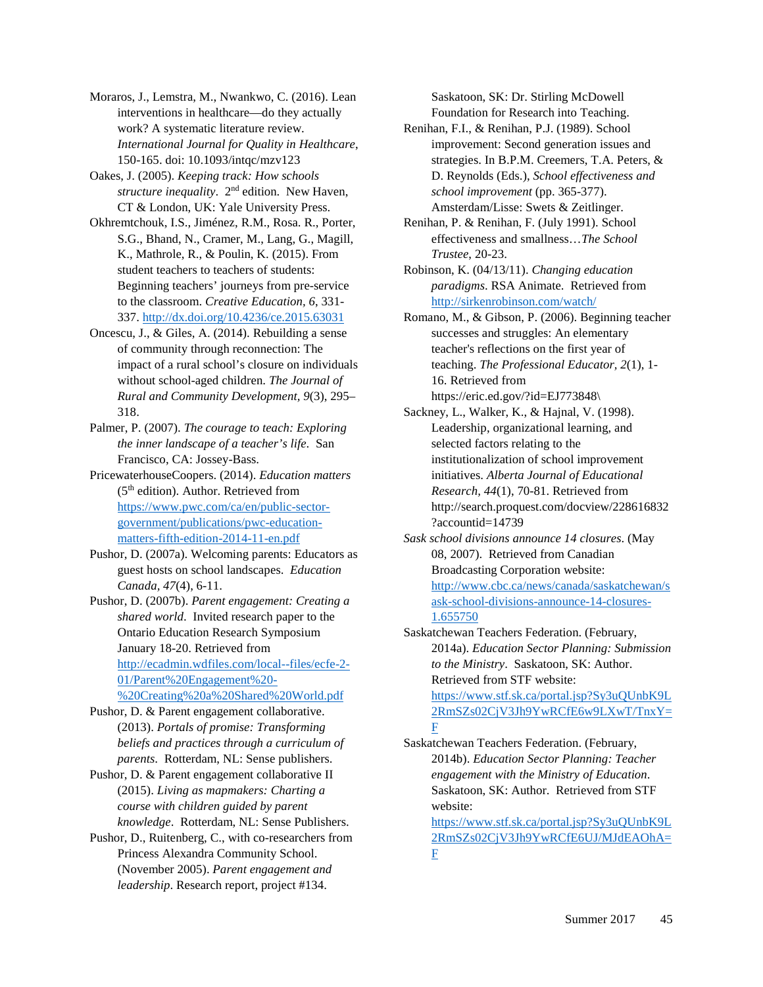Moraros, J., Lemstra, M., Nwankwo, C. (2016). Lean interventions in healthcare—do they actually work? A systematic literature review. *International Journal for Quality in Healthcare*, 150-165. doi: 10.1093/intqc/mzv123

Oakes, J. (2005). *Keeping track: How schools structure inequality*. 2nd edition. New Haven, CT & London, UK: Yale University Press.

Okhremtchouk, I.S., Jiménez, R.M., Rosa. R., Porter, S.G., Bhand, N., Cramer, M., Lang, G., Magill, K., Mathrole, R., & Poulin, K. (2015). From student teachers to teachers of students: Beginning teachers' journeys from pre-service to the classroom. *Creative Education, 6*, 331- 337.<http://dx.doi.org/10.4236/ce.2015.63031>

Oncescu, J., & Giles, A. (2014). Rebuilding a sense of community through reconnection: The impact of a rural school's closure on individuals without school-aged children. *The Journal of Rural and Community Development, 9*(3), 295– 318.

Palmer, P. (2007). *The courage to teach: Exploring the inner landscape of a teacher's life*. San Francisco, CA: Jossey-Bass.

PricewaterhouseCoopers. (2014). *Education matters*  $(5<sup>th</sup>$  edition). Author. Retrieved from [https://www.pwc.com/ca/en/public-sector](https://www.pwc.com/ca/en/public-sector-government/publications/pwc-education-matters-fifth-edition-2014-11-en.pdf)[government/publications/pwc-education](https://www.pwc.com/ca/en/public-sector-government/publications/pwc-education-matters-fifth-edition-2014-11-en.pdf)[matters-fifth-edition-2014-11-en.pdf](https://www.pwc.com/ca/en/public-sector-government/publications/pwc-education-matters-fifth-edition-2014-11-en.pdf)

Pushor, D. (2007a). Welcoming parents: Educators as guest hosts on school landscapes. *Education Canada, 47*(4), 6-11.

Pushor, D. (2007b). *Parent engagement: Creating a shared world*. Invited research paper to the Ontario Education Research Symposium January 18-20. Retrieved from [http://ecadmin.wdfiles.com/local--files/ecfe-2-](http://ecadmin.wdfiles.com/local--files/ecfe-2-01/Parent%20Engagement%20-%20Creating%20a%20Shared%20World.pdf) [01/Parent%20Engagement%20-](http://ecadmin.wdfiles.com/local--files/ecfe-2-01/Parent%20Engagement%20-%20Creating%20a%20Shared%20World.pdf) [%20Creating%20a%20Shared%20World.pdf](http://ecadmin.wdfiles.com/local--files/ecfe-2-01/Parent%20Engagement%20-%20Creating%20a%20Shared%20World.pdf)

Pushor, D. & Parent engagement collaborative. (2013). *Portals of promise: Transforming beliefs and practices through a curriculum of parents*. Rotterdam, NL: Sense publishers.

Pushor, D. & Parent engagement collaborative II (2015). *Living as mapmakers: Charting a course with children guided by parent knowledge*. Rotterdam, NL: Sense Publishers.

Pushor, D., Ruitenberg, C., with co-researchers from Princess Alexandra Community School. (November 2005). *Parent engagement and leadership*. Research report, project #134.

Saskatoon, SK: Dr. Stirling McDowell Foundation for Research into Teaching.

Renihan, F.I., & Renihan, P.J. (1989). School improvement: Second generation issues and strategies. In B.P.M. Creemers, T.A. Peters, & D. Reynolds (Eds.), *School effectiveness and school improvement* (pp. 365-377). Amsterdam/Lisse: Swets & Zeitlinger.

Renihan, P. & Renihan, F. (July 1991). School effectiveness and smallness…*The School Trustee*, 20-23.

Robinson, K. (04/13/11). *Changing education paradigms*. RSA Animate. Retrieved from <http://sirkenrobinson.com/watch/>

Romano, M., & Gibson, P. (2006). Beginning teacher successes and struggles: An elementary teacher's reflections on the first year of teaching. *The Professional Educator, 2*(1), 1- 16. Retrieved from https://eric.ed.gov/?id=EJ773848\

Sackney, L., Walker, K., & Hajnal, V. (1998). Leadership, organizational learning, and selected factors relating to the institutionalization of school improvement initiatives. *Alberta Journal of Educational Research, 44*(1), 70-81. Retrieved from http://search.proquest.com/docview/228616832 ?accountid=14739

*Sask school divisions announce 14 closures*. (May 08, 2007). Retrieved from Canadian Broadcasting Corporation website: [http://www.cbc.ca/news/canada/saskatchewan/s](http://www.cbc.ca/news/canada/saskatchewan/sask-school-divisions-announce-14-closures-1.655750) [ask-school-divisions-announce-14-closures-](http://www.cbc.ca/news/canada/saskatchewan/sask-school-divisions-announce-14-closures-1.655750)[1.655750](http://www.cbc.ca/news/canada/saskatchewan/sask-school-divisions-announce-14-closures-1.655750)

Saskatchewan Teachers Federation. (February, 2014a). *Education Sector Planning: Submission to the Ministry*. Saskatoon, SK: Author. Retrieved from STF website:

[https://www.stf.sk.ca/portal.jsp?Sy3uQUnbK9L](https://www.stf.sk.ca/portal.jsp?Sy3uQUnbK9L2RmSZs02CjV3Jh9YwRCfE6w9LXwT/TnxY=F) [2RmSZs02CjV3Jh9YwRCfE6w9LXwT/TnxY=](https://www.stf.sk.ca/portal.jsp?Sy3uQUnbK9L2RmSZs02CjV3Jh9YwRCfE6w9LXwT/TnxY=F) [F](https://www.stf.sk.ca/portal.jsp?Sy3uQUnbK9L2RmSZs02CjV3Jh9YwRCfE6w9LXwT/TnxY=F)

Saskatchewan Teachers Federation. (February, 2014b). *Education Sector Planning: Teacher engagement with the Ministry of Education*. Saskatoon, SK: Author. Retrieved from STF website:

[https://www.stf.sk.ca/portal.jsp?Sy3uQUnbK9L](https://www.stf.sk.ca/portal.jsp?Sy3uQUnbK9L2RmSZs02CjV3Jh9YwRCfE6UJ/MJdEAOhA=F) [2RmSZs02CjV3Jh9YwRCfE6UJ/MJdEAOhA=](https://www.stf.sk.ca/portal.jsp?Sy3uQUnbK9L2RmSZs02CjV3Jh9YwRCfE6UJ/MJdEAOhA=F) [F](https://www.stf.sk.ca/portal.jsp?Sy3uQUnbK9L2RmSZs02CjV3Jh9YwRCfE6UJ/MJdEAOhA=F)